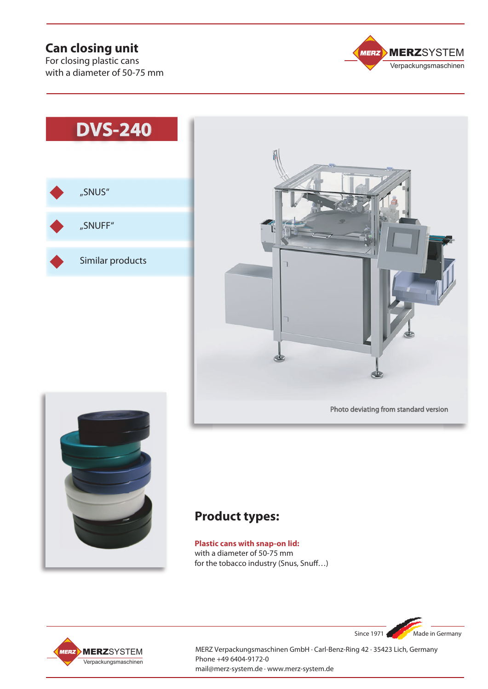## **Can closing unit**

For closing plastic cans with a diameter of 50-75 mm









# **Product types:**

**Plastic cans with snap-on lid:** with a diameter of 50-75 mm for the tobacco industry (Snus, Snuff…)



MERZ Verpackungsmaschinen GmbH · Carl-Benz-Ring 42 · 35423 Lich, Germany Phone +49 6404-9172-0 mail@merz-system.de · www.merz-system.de